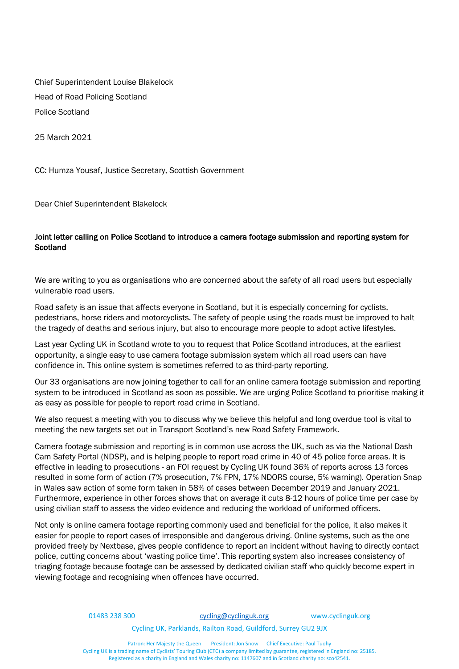Chief Superintendent Louise Blakelock Head of Road Policing Scotland Police Scotland

25 March 2021

CC: Humza Yousaf, Justice Secretary, Scottish Government

Dear Chief Superintendent Blakelock

## Joint letter calling on Police Scotland to introduce a camera footage submission and reporting system for **Scotland**

We are writing to you as organisations who are concerned about the safety of all road users but especially vulnerable road users.

Road safety is an issue that affects everyone in Scotland, but it is especially concerning for cyclists, pedestrians, horse riders and motorcyclists. The safety of people using the roads must be improved to halt the tragedy of deaths and serious injury, but also to encourage more people to adopt active lifestyles.

Last year Cycling UK in Scotland wrote to you to request that Police Scotland introduces, at the earliest opportunity, a single easy to use camera footage submission system which all road users can have confidence in. This online system is sometimes referred to as third-party reporting.

Our 33 organisations are now joining together to call for an online camera footage submission and reporting system to be introduced in Scotland as soon as possible. We are urging Police Scotland to prioritise making it as easy as possible for people to report road crime in Scotland.

We also request a meeting with you to discuss why we believe this helpful and long overdue tool is vital to meeting the new targets set out in Transport Scotland's new Road Safety Framework.

Camera footage submission and reporting is in common use across the UK, such as via the National Dash Cam Safety Portal (NDSP), and is helping people to report road crime in 40 of 45 police force areas. It is effective in leading to prosecutions - an FOI request by Cycling UK found 36% of reports across 13 forces resulted in some form of action (7% prosecution, 7% FPN, 17% NDORS course, 5% warning). Operation Snap in Wales saw action of some form taken in 58% of cases between December 2019 and January 2021. Furthermore, experience in other forces shows that on average it cuts 8-12 hours of police time per case by using civilian staff to assess the video evidence and reducing the workload of uniformed officers.

Not only is online camera footage reporting commonly used and beneficial for the police, it also makes it easier for people to report cases of irresponsible and dangerous driving. Online systems, such as the one provided freely by Nextbase, gives people confidence to report an incident without having to directly contact police, cutting concerns about 'wasting police time'. This reporting system also increases consistency of triaging footage because footage can be assessed by dedicated civilian staff who quickly become expert in viewing footage and recognising when offences have occurred.

01483 238 300 [cycling@cyclinguk.org](mailto:cycling@cyclinguk.org) www.cyclinguk.org

Cycling UK, Parklands, Railton Road, Guildford, Surrey GU2 9JX

Patron: Her Majesty the Queen President: Jon Snow Chief Executive: Paul Tuohy Cycling UK is a trading name of Cyclists' Touring Club (CTC) a company limited by guarantee, registered in England no: 25185. Registered as a charity in England and Wales charity no: 1147607 and in Scotland charity no: sco42541.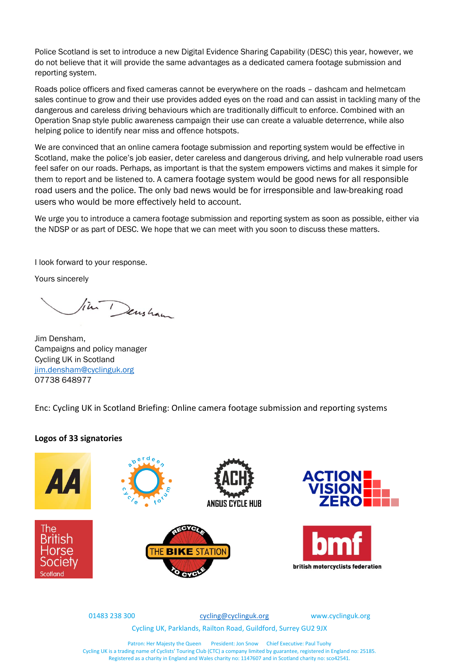Police Scotland is set to introduce a new Digital Evidence Sharing Capability (DESC) this year, however, we do not believe that it will provide the same advantages as a dedicated camera footage submission and reporting system.

Roads police officers and fixed cameras cannot be everywhere on the roads – dashcam and helmetcam sales continue to grow and their use provides added eyes on the road and can assist in tackling many of the dangerous and careless driving behaviours which are traditionally difficult to enforce. Combined with an Operation Snap style public awareness campaign their use can create a valuable deterrence, while also helping police to identify near miss and offence hotspots.

We are convinced that an online camera footage submission and reporting system would be effective in Scotland, make the police's job easier, deter careless and dangerous driving, and help vulnerable road users feel safer on our roads. Perhaps, as important is that the system empowers victims and makes it simple for them to report and be listened to. A camera footage system would be good news for all responsible road users and the police. The only bad news would be for irresponsible and law-breaking road users who would be more effectively held to account.

We urge you to introduce a camera footage submission and reporting system as soon as possible, either via the NDSP or as part of DESC. We hope that we can meet with you soon to discuss these matters.

I look forward to your response.

Yours sincerely

in Densham

Jim Densham, Campaigns and policy manager Cycling UK in Scotland [jim.densham@cyclinguk.org](mailto:jim.densham@cyclinguk.org) 07738 648977

Enc: Cycling UK in Scotland Briefing: Online camera footage submission and reporting systems

## **Logos of 33 signatories**



01483 238 300 [cycling@cyclinguk.org](mailto:cycling@cyclinguk.org) www.cyclinguk.org

Cycling UK, Parklands, Railton Road, Guildford, Surrey GU2 9JX

Patron: Her Majesty the Queen President: Jon Snow Chief Executive: Paul Tuohy Cycling UK is a trading name of Cyclists' Touring Club (CTC) a company limited by guarantee, registered in England no: 25185. Registered as a charity in England and Wales charity no: 1147607 and in Scotland charity no: sco42541.